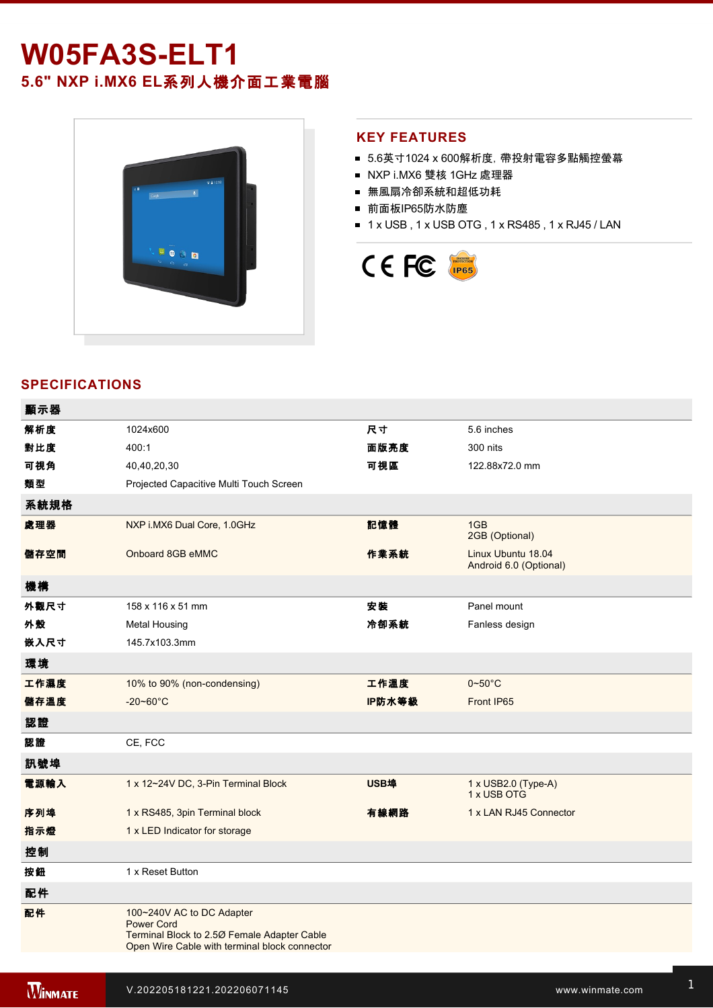# **W05FA3SELT1 5.6" NXP i.MX6 EL**系列人機介面工業電腦



### **KEY FEATURES**

- 5.6英寸1024 x 600解析度, 帶投射電容多點觸控螢幕
- NXP i.MX6 雙核 1GHz 處理器
- 無風扇冷卻系統和超低功耗
- 前面板IP65防水防塵
- 1 x USB, 1 x USB OTG, 1 x RS485, 1 x RJ45 / LAN



# **SPECIFICATIONS**

| 顯示器  |                                                                                                                                                |        |                                              |
|------|------------------------------------------------------------------------------------------------------------------------------------------------|--------|----------------------------------------------|
| 解析度  | 1024x600                                                                                                                                       | 尺寸     | 5.6 inches                                   |
| 對比度  | 400:1                                                                                                                                          | 面版亮度   | 300 nits                                     |
| 可視角  | 40,40,20,30                                                                                                                                    | 可視區    | 122.88x72.0 mm                               |
| 類型   | Projected Capacitive Multi Touch Screen                                                                                                        |        |                                              |
| 系統規格 |                                                                                                                                                |        |                                              |
| 處理器  | NXP i.MX6 Dual Core, 1.0GHz                                                                                                                    | 記憶體    | 1GB<br>2GB (Optional)                        |
| 儲存空間 | Onboard 8GB eMMC                                                                                                                               | 作業系統   | Linux Ubuntu 18.04<br>Android 6.0 (Optional) |
| 機構   |                                                                                                                                                |        |                                              |
| 外觀尺寸 | 158 x 116 x 51 mm                                                                                                                              | 安装     | Panel mount                                  |
| 外殼   | <b>Metal Housing</b>                                                                                                                           | 冷卻系統   | Fanless design                               |
| 嵌入尺寸 | 145.7x103.3mm                                                                                                                                  |        |                                              |
| 環境   |                                                                                                                                                |        |                                              |
| 工作濕度 | 10% to 90% (non-condensing)                                                                                                                    | 工作溫度   | $0 - 50$ °C                                  |
| 儲存溫度 | $-20 - 60^{\circ}$ C                                                                                                                           | IP防水等級 | Front IP65                                   |
| 認證   |                                                                                                                                                |        |                                              |
| 認證   | CE, FCC                                                                                                                                        |        |                                              |
| 訊號埠  |                                                                                                                                                |        |                                              |
| 電源輸入 | 1 x 12~24V DC, 3-Pin Terminal Block                                                                                                            | USB埠   | 1 x USB2.0 (Type-A)<br>1 x USB OTG           |
| 序列埠  | 1 x RS485, 3pin Terminal block                                                                                                                 | 有線網路   | 1 x LAN RJ45 Connector                       |
| 指示燈  | 1 x LED Indicator for storage                                                                                                                  |        |                                              |
| 控制   |                                                                                                                                                |        |                                              |
| 按鈕   | 1 x Reset Button                                                                                                                               |        |                                              |
| 配件   |                                                                                                                                                |        |                                              |
| 配件   | 100~240V AC to DC Adapter<br><b>Power Cord</b><br>Terminal Block to 2.50 Female Adapter Cable<br>Open Wire Cable with terminal block connector |        |                                              |
|      |                                                                                                                                                |        |                                              |

 $12\%$  is ordered 12V with isolation, 3Pin Terminal Block  $\bar{z}$  and  $\bar{z}$  such that  $\bar{z}$